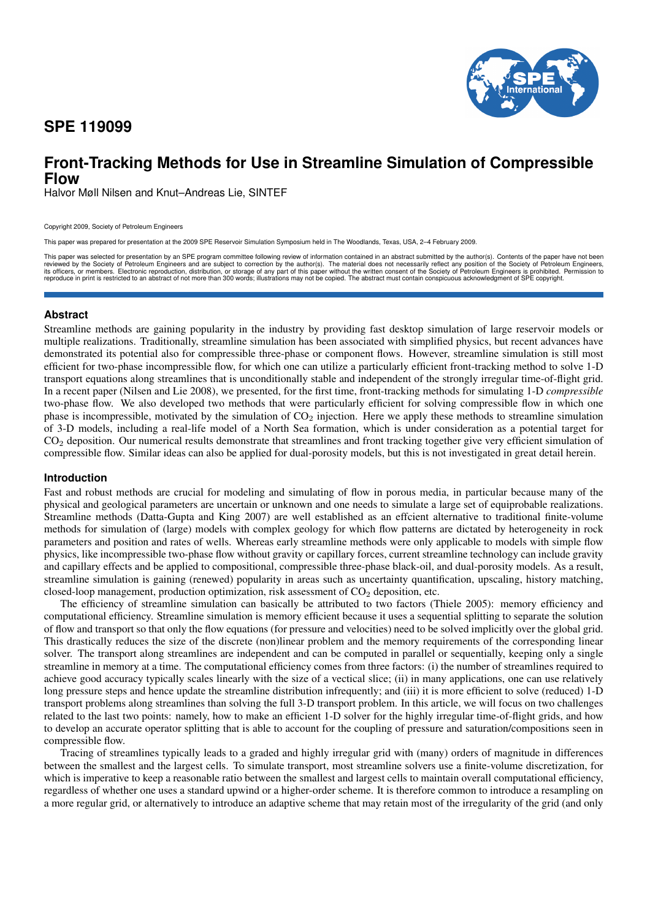## **SPE 119099**



# **Front-Tracking Methods for Use in Streamline Simulation of Compressible Flow**

Halvor Møll Nilsen and Knut–Andreas Lie, SINTEF

Copyright 2009, Society of Petroleum Engineers

This paper was prepared for presentation at the 2009 SPE Reservoir Simulation Symposium held in The Woodlands, Texas, USA, 2–4 February 2009.

This paper was selected for presentation by an SPE program committee following review of information contained in an abstract submitted by the author(s). Contents of the paper have not been reviewed by the Society of Petro

### **Abstract**

Streamline methods are gaining popularity in the industry by providing fast desktop simulation of large reservoir models or multiple realizations. Traditionally, streamline simulation has been associated with simplified physics, but recent advances have demonstrated its potential also for compressible three-phase or component flows. However, streamline simulation is still most efficient for two-phase incompressible flow, for which one can utilize a particularly efficient front-tracking method to solve 1-D transport equations along streamlines that is unconditionally stable and independent of the strongly irregular time-of-flight grid. In a recent paper (Nilsen and Lie 2008), we presented, for the first time, front-tracking methods for simulating 1-D *compressible* two-phase flow. We also developed two methods that were particularly efficient for solving compressible flow in which one phase is incompressible, motivated by the simulation of  $CO<sub>2</sub>$  injection. Here we apply these methods to streamline simulation of 3-D models, including a real-life model of a North Sea formation, which is under consideration as a potential target for CO<sup>2</sup> deposition. Our numerical results demonstrate that streamlines and front tracking together give very efficient simulation of compressible flow. Similar ideas can also be applied for dual-porosity models, but this is not investigated in great detail herein.

### **Introduction**

Fast and robust methods are crucial for modeling and simulating of flow in porous media, in particular because many of the physical and geological parameters are uncertain or unknown and one needs to simulate a large set of equiprobable realizations. Streamline methods (Datta-Gupta and King 2007) are well established as an effcient alternative to traditional finite-volume methods for simulation of (large) models with complex geology for which flow patterns are dictated by heterogeneity in rock parameters and position and rates of wells. Whereas early streamline methods were only applicable to models with simple flow physics, like incompressible two-phase flow without gravity or capillary forces, current streamline technology can include gravity and capillary effects and be applied to compositional, compressible three-phase black-oil, and dual-porosity models. As a result, streamline simulation is gaining (renewed) popularity in areas such as uncertainty quantification, upscaling, history matching, closed-loop management, production optimization, risk assessment of  $CO<sub>2</sub>$  deposition, etc.

The efficiency of streamline simulation can basically be attributed to two factors (Thiele 2005): memory efficiency and computational efficiency. Streamline simulation is memory efficient because it uses a sequential splitting to separate the solution of flow and transport so that only the flow equations (for pressure and velocities) need to be solved implicitly over the global grid. This drastically reduces the size of the discrete (non)linear problem and the memory requirements of the corresponding linear solver. The transport along streamlines are independent and can be computed in parallel or sequentially, keeping only a single streamline in memory at a time. The computational efficiency comes from three factors: (i) the number of streamlines required to achieve good accuracy typically scales linearly with the size of a vectical slice; (ii) in many applications, one can use relatively long pressure steps and hence update the streamline distribution infrequently; and (iii) it is more efficient to solve (reduced) 1-D transport problems along streamlines than solving the full 3-D transport problem. In this article, we will focus on two challenges related to the last two points: namely, how to make an efficient 1-D solver for the highly irregular time-of-flight grids, and how to develop an accurate operator splitting that is able to account for the coupling of pressure and saturation/compositions seen in compressible flow.

Tracing of streamlines typically leads to a graded and highly irregular grid with (many) orders of magnitude in differences between the smallest and the largest cells. To simulate transport, most streamline solvers use a finite-volume discretization, for which is imperative to keep a reasonable ratio between the smallest and largest cells to maintain overall computational efficiency, regardless of whether one uses a standard upwind or a higher-order scheme. It is therefore common to introduce a resampling on a more regular grid, or alternatively to introduce an adaptive scheme that may retain most of the irregularity of the grid (and only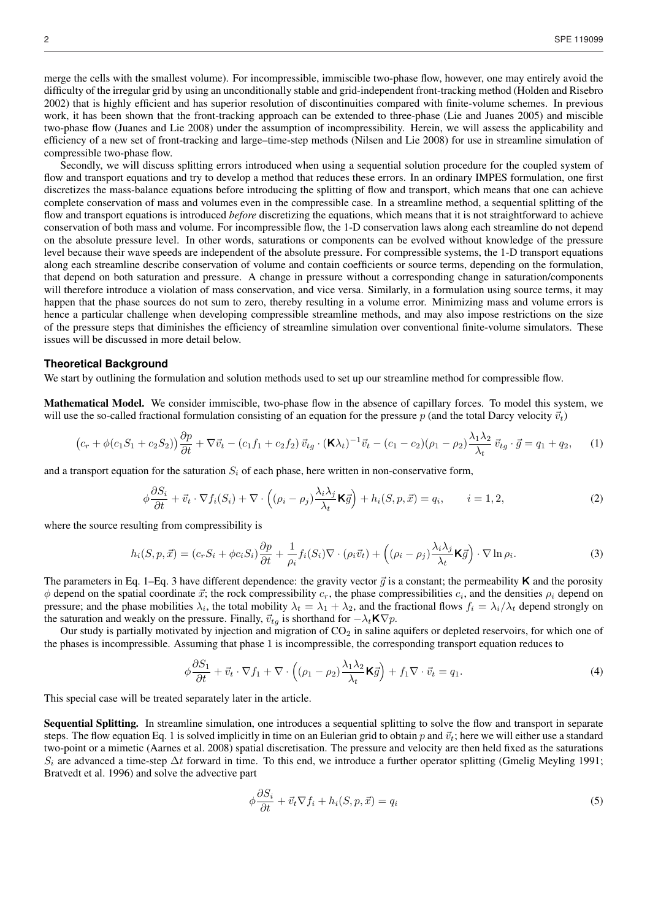merge the cells with the smallest volume). For incompressible, immiscible two-phase flow, however, one may entirely avoid the difficulty of the irregular grid by using an unconditionally stable and grid-independent front-tracking method (Holden and Risebro 2002) that is highly efficient and has superior resolution of discontinuities compared with finite-volume schemes. In previous work, it has been shown that the front-tracking approach can be extended to three-phase (Lie and Juanes 2005) and miscible two-phase flow (Juanes and Lie 2008) under the assumption of incompressibility. Herein, we will assess the applicability and efficiency of a new set of front-tracking and large–time-step methods (Nilsen and Lie 2008) for use in streamline simulation of compressible two-phase flow.

Secondly, we will discuss splitting errors introduced when using a sequential solution procedure for the coupled system of flow and transport equations and try to develop a method that reduces these errors. In an ordinary IMPES formulation, one first discretizes the mass-balance equations before introducing the splitting of flow and transport, which means that one can achieve complete conservation of mass and volumes even in the compressible case. In a streamline method, a sequential splitting of the flow and transport equations is introduced *before* discretizing the equations, which means that it is not straightforward to achieve conservation of both mass and volume. For incompressible flow, the 1-D conservation laws along each streamline do not depend on the absolute pressure level. In other words, saturations or components can be evolved without knowledge of the pressure level because their wave speeds are independent of the absolute pressure. For compressible systems, the 1-D transport equations along each streamline describe conservation of volume and contain coefficients or source terms, depending on the formulation, that depend on both saturation and pressure. A change in pressure without a corresponding change in saturation/components will therefore introduce a violation of mass conservation, and vice versa. Similarly, in a formulation using source terms, it may happen that the phase sources do not sum to zero, thereby resulting in a volume error. Minimizing mass and volume errors is hence a particular challenge when developing compressible streamline methods, and may also impose restrictions on the size of the pressure steps that diminishes the efficiency of streamline simulation over conventional finite-volume simulators. These issues will be discussed in more detail below.

#### **Theoretical Background**

We start by outlining the formulation and solution methods used to set up our streamline method for compressible flow.

Mathematical Model. We consider immiscible, two-phase flow in the absence of capillary forces. To model this system, we will use the so-called fractional formulation consisting of an equation for the pressure p (and the total Darcy velocity  $\vec{v}_t$ )

$$
\left(c_r + \phi(c_1S_1 + c_2S_2)\right)\frac{\partial p}{\partial t} + \nabla \vec{v}_t - \left(c_1f_1 + c_2f_2\right)\vec{v}_{tg} \cdot (\mathbf{K}\lambda_t)^{-1}\vec{v}_t - (c_1 - c_2)(\rho_1 - \rho_2)\frac{\lambda_1\lambda_2}{\lambda_t}\vec{v}_{tg} \cdot \vec{g} = q_1 + q_2,\tag{1}
$$

and a transport equation for the saturation  $S_i$  of each phase, here written in non-conservative form,

$$
\phi \frac{\partial S_i}{\partial t} + \vec{v}_t \cdot \nabla f_i(S_i) + \nabla \cdot \left( (\rho_i - \rho_j) \frac{\lambda_i \lambda_j}{\lambda_t} \mathbf{K} \vec{g} \right) + h_i(S, p, \vec{x}) = q_i, \qquad i = 1, 2,
$$
\n(2)

where the source resulting from compressibility is

$$
h_i(S, p, \vec{x}) = (c_r S_i + \phi c_i S_i) \frac{\partial p}{\partial t} + \frac{1}{\rho_i} f_i(S_i) \nabla \cdot (\rho_i \vec{v}_t) + ((\rho_i - \rho_j) \frac{\lambda_i \lambda_j}{\lambda_t} \mathbf{K} \vec{g}) \cdot \nabla \ln \rho_i.
$$
\n(3)

The parameters in Eq. 1–Eq. 3 have different dependence: the gravity vector  $\vec{q}$  is a constant; the permeability **K** and the porosity  $\phi$  depend on the spatial coordinate  $\vec{x}$ ; the rock compressibility  $c_r$ , the phase compressibilities  $c_i$ , and the densities  $\rho_i$  depend on pressure; and the phase mobilities  $\lambda_i$ , the total mobility  $\lambda_t = \lambda_1 + \lambda_2$ , and the fractional flows  $f_i = \lambda_i/\lambda_t$  depend strongly on the saturation and weakly on the pressure. Finally,  $\vec{v}_{tg}$  is shorthand for  $-\lambda_t \mathbf{K} \nabla p$ .

Our study is partially motivated by injection and migration of  $CO<sub>2</sub>$  in saline aquifers or depleted reservoirs, for which one of the phases is incompressible. Assuming that phase 1 is incompressible, the corresponding transport equation reduces to

$$
\phi \frac{\partial S_1}{\partial t} + \vec{v}_t \cdot \nabla f_1 + \nabla \cdot \left( (\rho_1 - \rho_2) \frac{\lambda_1 \lambda_2}{\lambda_t} \mathbf{K} \vec{g} \right) + f_1 \nabla \cdot \vec{v}_t = q_1. \tag{4}
$$

This special case will be treated separately later in the article.

Sequential Splitting. In streamline simulation, one introduces a sequential splitting to solve the flow and transport in separate steps. The flow equation Eq. 1 is solved implicitly in time on an Eulerian grid to obtain p and  $\vec{v}_t$ ; here we will either use a standard two-point or a mimetic (Aarnes et al. 2008) spatial discretisation. The pressure and velocity are then held fixed as the saturations  $S_i$  are advanced a time-step  $\Delta t$  forward in time. To this end, we introduce a further operator splitting (Gmelig Meyling 1991; Bratvedt et al. 1996) and solve the advective part

$$
\phi \frac{\partial S_i}{\partial t} + \vec{v}_t \nabla f_i + h_i(S, p, \vec{x}) = q_i \tag{5}
$$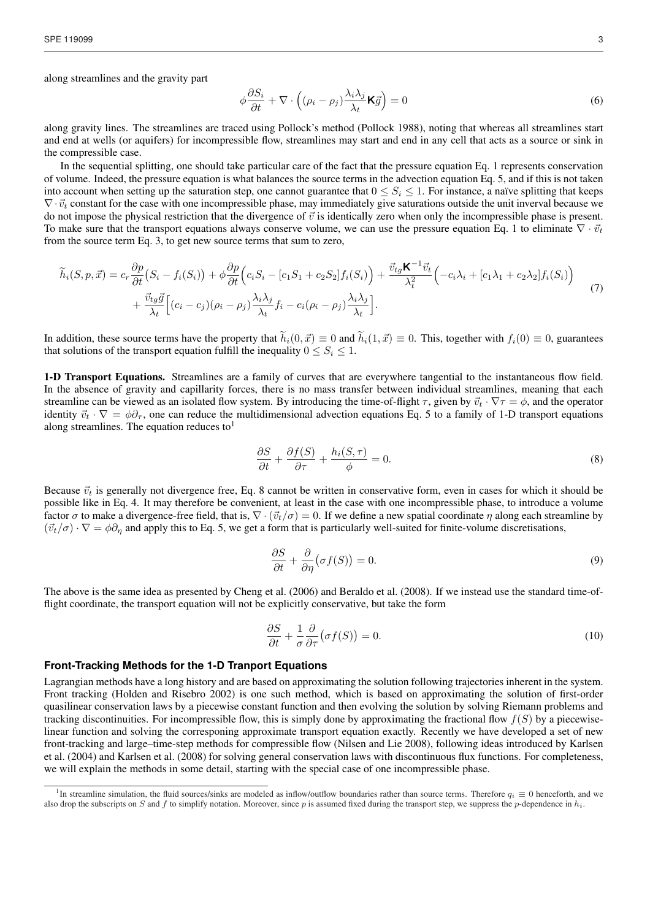along streamlines and the gravity part

$$
\phi \frac{\partial S_i}{\partial t} + \nabla \cdot \left( (\rho_i - \rho_j) \frac{\lambda_i \lambda_j}{\lambda_t} \mathbf{K} \vec{g} \right) = 0 \tag{6}
$$

along gravity lines. The streamlines are traced using Pollock's method (Pollock 1988), noting that whereas all streamlines start and end at wells (or aquifers) for incompressible flow, streamlines may start and end in any cell that acts as a source or sink in the compressible case.

In the sequential splitting, one should take particular care of the fact that the pressure equation Eq. 1 represents conservation of volume. Indeed, the pressure equation is what balances the source terms in the advection equation Eq. 5, and if this is not taken into account when setting up the saturation step, one cannot guarantee that  $0 \leq S_i \leq 1$ . For instance, a naïve splitting that keeps  $\nabla \cdot \vec{v}_t$  constant for the case with one incompressible phase, may immediately give saturations outside the unit inverval because we do not impose the physical restriction that the divergence of  $\vec{v}$  is identically zero when only the incompressible phase is present. To make sure that the transport equations always conserve volume, we can use the pressure equation Eq. 1 to eliminate  $\nabla \cdot \vec{v}_t$ from the source term Eq. 3, to get new source terms that sum to zero,

$$
\widetilde{h}_i(S, p, \vec{x}) = c_r \frac{\partial p}{\partial t} (S_i - f_i(S_i)) + \phi \frac{\partial p}{\partial t} \Big( c_i S_i - [c_1 S_1 + c_2 S_2] f_i(S_i) \Big) + \frac{\vec{v}_{tg} \mathbf{K}^{-1} \vec{v}_t}{\lambda_t^2} \Big( -c_i \lambda_i + [c_1 \lambda_1 + c_2 \lambda_2] f_i(S_i) \Big) \n+ \frac{\vec{v}_{tg} \vec{g}}{\lambda_t} \Big[ (c_i - c_j) (\rho_i - \rho_j) \frac{\lambda_i \lambda_j}{\lambda_t} f_i - c_i (\rho_i - \rho_j) \frac{\lambda_i \lambda_j}{\lambda_t} \Big].
$$
\n(7)

In addition, these source terms have the property that  $\widetilde{h}_i(0, \vec{x}) \equiv 0$  and  $\widetilde{h}_i(1, \vec{x}) \equiv 0$ . This, together with  $f_i(0) \equiv 0$ , guarantees that solutions of the transport equation fulfill the inequality  $0 \leq S_i \leq 1$ .

1-D Transport Equations. Streamlines are a family of curves that are everywhere tangential to the instantaneous flow field. In the absence of gravity and capillarity forces, there is no mass transfer between individual streamlines, meaning that each streamline can be viewed as an isolated flow system. By introducing the time-of-flight  $\tau$ , given by  $\vec{v}_t \cdot \nabla \tau = \phi$ , and the operator identity  $\vec{v}_t \cdot \nabla = \phi \partial_{\tau}$ , one can reduce the multidimensional advection equations Eq. 5 to a family of 1-D transport equations along streamlines. The equation reduces to<sup>1</sup>

$$
\frac{\partial S}{\partial t} + \frac{\partial f(S)}{\partial \tau} + \frac{h_i(S, \tau)}{\phi} = 0.
$$
\n(8)

Because  $\vec{v}_t$  is generally not divergence free, Eq. 8 cannot be written in conservative form, even in cases for which it should be possible like in Eq. 4. It may therefore be convenient, at least in the case with one incompressible phase, to introduce a volume factor  $\sigma$  to make a divergence-free field, that is,  $\nabla \cdot (\vec{v}_t/\sigma) = 0$ . If we define a new spatial coordinate  $\eta$  along each streamline by  $(\vec{v}_t/\sigma) \cdot \nabla = \phi \partial_{\eta}$  and apply this to Eq. 5, we get a form that is particularly well-suited for finite-volume discretisations,

$$
\frac{\partial S}{\partial t} + \frac{\partial}{\partial \eta} \big( \sigma f(S) \big) = 0. \tag{9}
$$

The above is the same idea as presented by Cheng et al. (2006) and Beraldo et al. (2008). If we instead use the standard time-offlight coordinate, the transport equation will not be explicitly conservative, but take the form

$$
\frac{\partial S}{\partial t} + \frac{1}{\sigma} \frac{\partial}{\partial \tau} (\sigma f(S)) = 0.
$$
\n(10)

## **Front-Tracking Methods for the 1-D Tranport Equations**

Lagrangian methods have a long history and are based on approximating the solution following trajectories inherent in the system. Front tracking (Holden and Risebro 2002) is one such method, which is based on approximating the solution of first-order quasilinear conservation laws by a piecewise constant function and then evolving the solution by solving Riemann problems and tracking discontinuities. For incompressible flow, this is simply done by approximating the fractional flow  $f(S)$  by a piecewiselinear function and solving the corresponing approximate transport equation exactly. Recently we have developed a set of new front-tracking and large–time-step methods for compressible flow (Nilsen and Lie 2008), following ideas introduced by Karlsen et al. (2004) and Karlsen et al. (2008) for solving general conservation laws with discontinuous flux functions. For completeness, we will explain the methods in some detail, starting with the special case of one incompressible phase.

<sup>&</sup>lt;sup>1</sup>In streamline simulation, the fluid sources/sinks are modeled as inflow/outflow boundaries rather than source terms. Therefore  $q_i \equiv 0$  henceforth, and we also drop the subscripts on S and f to simplify notation. Moreover, since p is assumed fixed during the transport step, we suppress the p-dependence in  $h_i$ .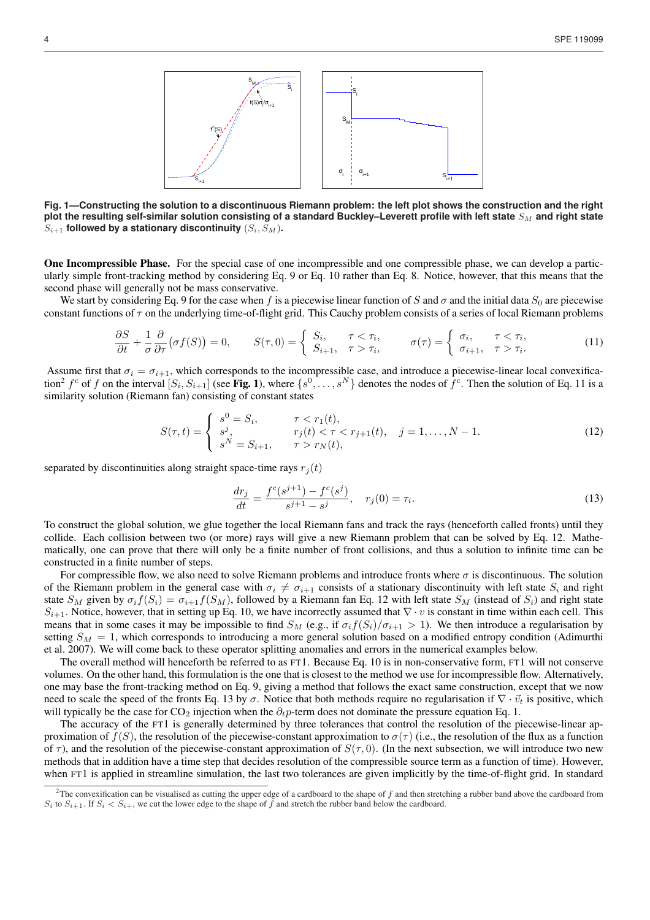

**Fig. 1—Constructing the solution to a discontinuous Riemann problem: the left plot shows the construction and the right plot the resulting self-similar solution consisting of a standard Buckley–Leverett profile with left state**  $S_M$  and right state  $S_{i+1}$  followed by a stationary discontinuity  $(S_i, S_M)$ .

One Incompressible Phase. For the special case of one incompressible and one compressible phase, we can develop a particularly simple front-tracking method by considering Eq. 9 or Eq. 10 rather than Eq. 8. Notice, however, that this means that the second phase will generally not be mass conservative.

We start by considering Eq. 9 for the case when f is a piecewise linear function of S and  $\sigma$  and the initial data  $S_0$  are piecewise constant functions of  $\tau$  on the underlying time-of-flight grid. This Cauchy problem consists of a series of local Riemann problems

$$
\frac{\partial S}{\partial t} + \frac{1}{\sigma} \frac{\partial}{\partial \tau} (\sigma f(S)) = 0, \qquad S(\tau, 0) = \begin{cases} S_i, & \tau < \tau_i, \\ S_{i+1}, & \tau > \tau_i, \end{cases} \qquad \sigma(\tau) = \begin{cases} \sigma_i, & \tau < \tau_i, \\ \sigma_{i+1}, & \tau > \tau_i. \end{cases} \tag{11}
$$

Assume first that  $\sigma_i = \sigma_{i+1}$ , which corresponds to the incompressible case, and introduce a piecewise-linear local convexification<sup>2</sup>  $f^c$  of  $f$  on the interval  $[S_i, S_{i+1}]$  (see Fig. 1), where  $\{s^0, \ldots, s^N\}$  denotes the nodes of  $\bar{f}^c$ . Then the solution of Eq. 11 is a similarity solution (Riemann fan) consisting of constant states

$$
S(\tau, t) = \begin{cases} s^0 = S_i, & \tau < r_1(t), \\ s^j, & r_j(t) < \tau < r_{j+1}(t), \\ s^N = S_{i+1}, & \tau > r_N(t), \end{cases} \quad j = 1, \dots, N-1.
$$
 (12)

separated by discontinuities along straight space-time rays  $r_j(t)$ 

$$
\frac{dr_j}{dt} = \frac{f^c(s^{j+1}) - f^c(s^j)}{s^{j+1} - s^j}, \quad r_j(0) = \tau_i.
$$
\n(13)

To construct the global solution, we glue together the local Riemann fans and track the rays (henceforth called fronts) until they collide. Each collision between two (or more) rays will give a new Riemann problem that can be solved by Eq. 12. Mathematically, one can prove that there will only be a finite number of front collisions, and thus a solution to infinite time can be constructed in a finite number of steps.

For compressible flow, we also need to solve Riemann problems and introduce fronts where  $\sigma$  is discontinuous. The solution of the Riemann problem in the general case with  $\sigma_i \neq \sigma_{i+1}$  consists of a stationary discontinuity with left state  $S_i$  and right state  $S_M$  given by  $\sigma_i f(S_i) = \sigma_{i+1} f(S_M)$ , followed by a Riemann fan Eq. 12 with left state  $S_M$  (instead of  $S_i$ ) and right state  $S_{i+1}$ . Notice, however, that in setting up Eq. 10, we have incorrectly assumed that  $\nabla \cdot v$  is constant in time within each cell. This means that in some cases it may be impossible to find  $S_M$  (e.g., if  $\sigma_i f(S_i)/\sigma_{i+1} > 1$ ). We then introduce a regularisation by setting  $S_M = 1$ , which corresponds to introducing a more general solution based on a modified entropy condition (Adimurthi et al. 2007). We will come back to these operator splitting anomalies and errors in the numerical examples below.

The overall method will henceforth be referred to as FT1. Because Eq. 10 is in non-conservative form, FT1 will not conserve volumes. On the other hand, this formulation is the one that is closest to the method we use for incompressible flow. Alternatively, one may base the front-tracking method on Eq. 9, giving a method that follows the exact same construction, except that we now need to scale the speed of the fronts Eq. 13 by  $\sigma$ . Notice that both methods require no regularisation if  $\nabla \cdot \vec{v}_t$  is positive, which will typically be the case for  $CO_2$  injection when the  $\partial_t p$ -term does not dominate the pressure equation Eq. 1.

The accuracy of the FT1 is generally determined by three tolerances that control the resolution of the piecewise-linear approximation of  $f(S)$ , the resolution of the piecewise-constant approximation to  $\sigma(\tau)$  (i.e., the resolution of the flux as a function of  $\tau$ ), and the resolution of the piecewise-constant approximation of  $S(\tau, 0)$ . (In the next subsection, we will introduce two new methods that in addition have a time step that decides resolution of the compressible source term as a function of time). However, when FT1 is applied in streamline simulation, the last two tolerances are given implicitly by the time-of-flight grid. In standard

<sup>&</sup>lt;sup>2</sup>The convexification can be visualised as cutting the upper edge of a cardboard to the shape of  $f$  and then stretching a rubber band above the cardboard from  $S_i$  to  $S_{i+1}$ . If  $S_i < S_{i+1}$ , we cut the lower edge to the shape of f and stretch the rubber band below the cardboard.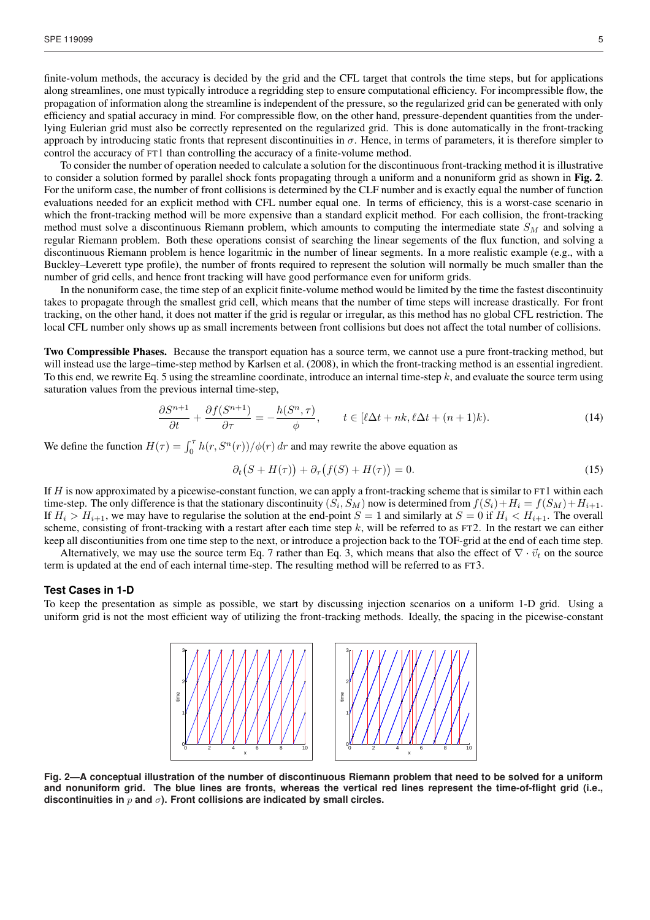finite-volum methods, the accuracy is decided by the grid and the CFL target that controls the time steps, but for applications along streamlines, one must typically introduce a regridding step to ensure computational efficiency. For incompressible flow, the propagation of information along the streamline is independent of the pressure, so the regularized grid can be generated with only efficiency and spatial accuracy in mind. For compressible flow, on the other hand, pressure-dependent quantities from the underlying Eulerian grid must also be correctly represented on the regularized grid. This is done automatically in the front-tracking approach by introducing static fronts that represent discontinuities in  $\sigma$ . Hence, in terms of parameters, it is therefore simpler to control the accuracy of FT1 than controlling the accuracy of a finite-volume method.

To consider the number of operation needed to calculate a solution for the discontinuous front-tracking method it is illustrative to consider a solution formed by parallel shock fonts propagating through a uniform and a nonuniform grid as shown in Fig. 2. For the uniform case, the number of front collisions is determined by the CLF number and is exactly equal the number of function evaluations needed for an explicit method with CFL number equal one. In terms of efficiency, this is a worst-case scenario in which the front-tracking method will be more expensive than a standard explicit method. For each collision, the front-tracking method must solve a discontinuous Riemann problem, which amounts to computing the intermediate state  $S_M$  and solving a regular Riemann problem. Both these operations consist of searching the linear segements of the flux function, and solving a discontinuous Riemann problem is hence logaritmic in the number of linear segments. In a more realistic example (e.g., with a Buckley–Leverett type profile), the number of fronts required to represent the solution will normally be much smaller than the number of grid cells, and hence front tracking will have good performance even for uniform grids.

In the nonuniform case, the time step of an explicit finite-volume method would be limited by the time the fastest discontinuity takes to propagate through the smallest grid cell, which means that the number of time steps will increase drastically. For front tracking, on the other hand, it does not matter if the grid is regular or irregular, as this method has no global CFL restriction. The local CFL number only shows up as small increments between front collisions but does not affect the total number of collisions.

Two Compressible Phases. Because the transport equation has a source term, we cannot use a pure front-tracking method, but will instead use the large–time-step method by Karlsen et al. (2008), in which the front-tracking method is an essential ingredient. To this end, we rewrite Eq. 5 using the streamline coordinate, introduce an internal time-step  $k$ , and evaluate the source term using saturation values from the previous internal time-step,

$$
\frac{\partial S^{n+1}}{\partial t} + \frac{\partial f(S^{n+1})}{\partial \tau} = -\frac{h(S^n, \tau)}{\phi}, \qquad t \in [\ell \Delta t + nk, \ell \Delta t + (n+1)k). \tag{14}
$$

We define the function  $H(\tau) = \int_0^{\tau} h(r, S^n(r))/\phi(r) dr$  and may rewrite the above equation as

$$
\partial_t (S + H(\tau)) + \partial_\tau (f(S) + H(\tau)) = 0.
$$
\n(15)

If  $H$  is now approximated by a picewise-constant function, we can apply a front-tracking scheme that is similar to FT1 within each time-step. The only difference is that the stationary discontinuity  $(S_i, S_M)$  now is determined from  $f(S_i) + H_i = f(S_M) + H_{i+1}$ . If  $H_i > H_{i+1}$ , we may have to regularise the solution at the end-point  $S = 1$  and similarly at  $S = 0$  if  $H_i < H_{i+1}$ . The overall scheme, consisting of front-tracking with a restart after each time step  $k$ , will be referred to as FT2. In the restart we can either keep all discontiunities from one time step to the next, or introduce a projection back to the TOF-grid at the end of each time step.

Alternatively, we may use the source term Eq. 7 rather than Eq. 3, which means that also the effect of  $\nabla \cdot \vec{v}_t$  on the source term is updated at the end of each internal time-step. The resulting method will be referred to as FT3.

#### **Test Cases in 1-D**

To keep the presentation as simple as possible, we start by discussing injection scenarios on a uniform 1-D grid. Using a uniform grid is not the most efficient way of utilizing the front-tracking methods. Ideally, the spacing in the picewise-constant



**Fig. 2—A conceptual illustration of the number of discontinuous Riemann problem that need to be solved for a uniform and nonuniform grid. The blue lines are fronts, whereas the vertical red lines represent the time-of-flight grid (i.e., discontinuities in** p **and** σ**). Front collisions are indicated by small circles.**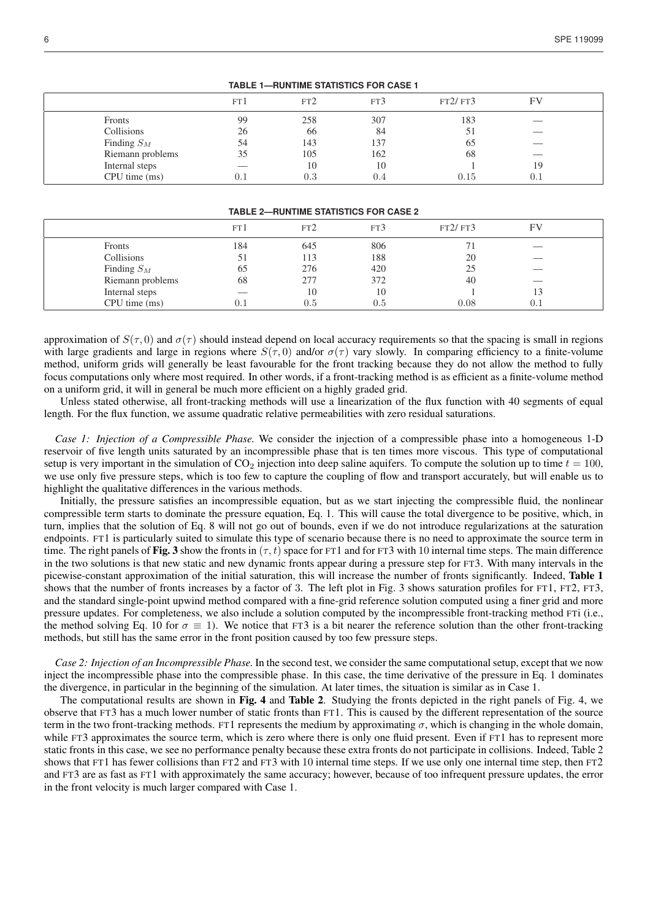| TABLE 1—RUNTIME STATISTICS FOR CASE 1 |      |           |     |         |     |  |  |
|---------------------------------------|------|-----------|-----|---------|-----|--|--|
|                                       | FT l | FT2       | FT3 | FT2/FT3 | FV  |  |  |
| Fronts                                | 99   | 258       | 307 | 183     |     |  |  |
| Collisions                            | 26   | 66        | 84  |         |     |  |  |
| Finding $S_M$                         | 54   | 143       | 137 | 65      |     |  |  |
| Riemann problems                      | 35   | 105       | 162 | 68      |     |  |  |
| Internal steps                        |      | 10        | 10  |         | 19  |  |  |
| CPU time (ms)                         | 0.1  | $\rm 0.3$ | 0.4 | 0.15    | 0.1 |  |  |

#### **TABLE 1—RUNTIME STATISTICS FOR CASE 1**

### **TABLE 2—RUNTIME STATISTICS FOR CASE 2**

|                  | FT l | FT2 | FT3 | FT2/FT3 | FЧ  |  |
|------------------|------|-----|-----|---------|-----|--|
| Fronts           | 184  | 645 | 806 |         | ___ |  |
| Collisions       | 51   | 113 | 188 | 20      |     |  |
| Finding $S_M$    | 65   | 276 | 420 | 25      | __  |  |
| Riemann problems | 68   | 277 | 372 | 40      |     |  |
| Internal steps   |      | 10  | 10  |         | 13  |  |
| CPU time (ms)    | 0.1  | 0.5 | 0.5 | 0.08    |     |  |

approximation of  $S(\tau, 0)$  and  $\sigma(\tau)$  should instead depend on local accuracy requirements so that the spacing is small in regions with large gradients and large in regions where  $S(\tau, 0)$  and/or  $\sigma(\tau)$  vary slowly. In comparing efficiency to a finite-volume method, uniform grids will generally be least favourable for the front tracking because they do not allow the method to fully focus computations only where most required. In other words, if a front-tracking method is as efficient as a finite-volume method on a uniform grid, it will in general be much more efficient on a highly graded grid.

Unless stated otherwise, all front-tracking methods will use a linearization of the flux function with 40 segments of equal length. For the flux function, we assume quadratic relative permeabilities with zero residual saturations.

*Case 1: Injection of a Compressible Phase.* We consider the injection of a compressible phase into a homogeneous 1-D reservoir of five length units saturated by an incompressible phase that is ten times more viscous. This type of computational setup is very important in the simulation of  $CO_2$  injection into deep saline aquifers. To compute the solution up to time  $t = 100$ , we use only five pressure steps, which is too few to capture the coupling of flow and transport accurately, but will enable us to highlight the qualitative differences in the various methods.

Initially, the pressure satisfies an incompressible equation, but as we start injecting the compressible fluid, the nonlinear compressible term starts to dominate the pressure equation, Eq. 1. This will cause the total divergence to be positive, which, in turn, implies that the solution of Eq. 8 will not go out of bounds, even if we do not introduce regularizations at the saturation endpoints. FT1 is particularly suited to simulate this type of scenario because there is no need to approximate the source term in time. The right panels of Fig. 3 show the fronts in  $(\tau, t)$  space for FT1 and for FT3 with 10 internal time steps. The main difference in the two solutions is that new static and new dynamic fronts appear during a pressure step for FT3. With many intervals in the picewise-constant approximation of the initial saturation, this will increase the number of fronts significantly. Indeed, Table 1 shows that the number of fronts increases by a factor of 3. The left plot in Fig. 3 shows saturation profiles for FT1, FT2, FT3, and the standard single-point upwind method compared with a fine-grid reference solution computed using a finer grid and more pressure updates. For completeness, we also include a solution computed by the incompressible front-tracking method FTi (i.e., the method solving Eq. 10 for  $\sigma \equiv 1$ ). We notice that FT3 is a bit nearer the reference solution than the other front-tracking methods, but still has the same error in the front position caused by too few pressure steps.

*Case 2: Injection of an Incompressible Phase.* In the second test, we consider the same computational setup, except that we now inject the incompressible phase into the compressible phase. In this case, the time derivative of the pressure in Eq. 1 dominates the divergence, in particular in the beginning of the simulation. At later times, the situation is similar as in Case 1.

The computational results are shown in Fig. 4 and Table 2. Studying the fronts depicted in the right panels of Fig. 4, we observe that FT3 has a much lower number of static fronts than FT1. This is caused by the different representation of the source term in the two front-tracking methods. FT1 represents the medium by approximating  $\sigma$ , which is changing in the whole domain, while FT3 approximates the source term, which is zero where there is only one fluid present. Even if FT1 has to represent more static fronts in this case, we see no performance penalty because these extra fronts do not participate in collisions. Indeed, Table 2 shows that FT1 has fewer collisions than FT2 and FT3 with 10 internal time steps. If we use only one internal time step, then FT2 and FT3 are as fast as FT1 with approximately the same accuracy; however, because of too infrequent pressure updates, the error in the front velocity is much larger compared with Case 1.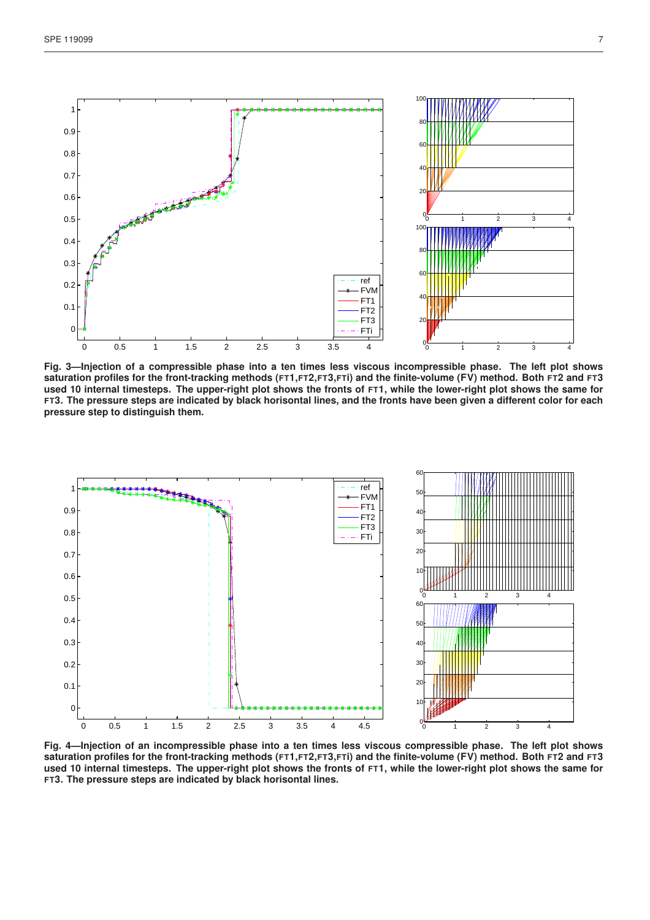

**Fig. 3—Injection of a compressible phase into a ten times less viscous incompressible phase. The left plot shows saturation profiles for the front-tracking methods (FT1,FT2,FT3,FTi) and the finite-volume (FV) method. Both FT2 and FT3 used 10 internal timesteps. The upper-right plot shows the fronts of FT1, while the lower-right plot shows the same for FT3. The pressure steps are indicated by black horisontal lines, and the fronts have been given a different color for each pressure step to distinguish them.**



**Fig. 4—Injection of an incompressible phase into a ten times less viscous compressible phase. The left plot shows saturation profiles for the front-tracking methods (FT1,FT2,FT3,FTi) and the finite-volume (FV) method. Both FT2 and FT3 used 10 internal timesteps. The upper-right plot shows the fronts of FT1, while the lower-right plot shows the same for FT3. The pressure steps are indicated by black horisontal lines.**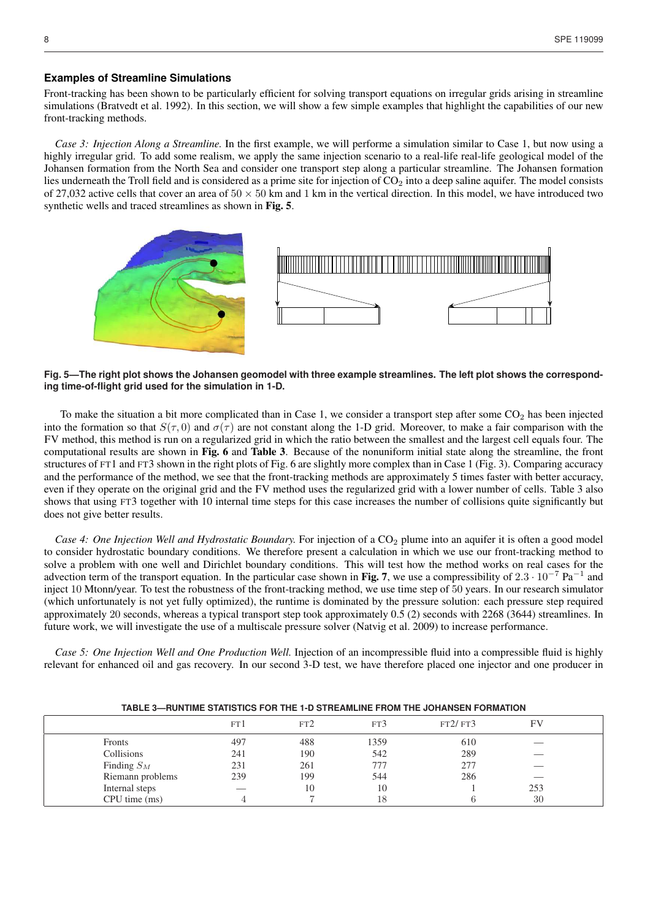#### **Examples of Streamline Simulations**

Front-tracking has been shown to be particularly efficient for solving transport equations on irregular grids arising in streamline simulations (Bratvedt et al. 1992). In this section, we will show a few simple examples that highlight the capabilities of our new front-tracking methods.

*Case 3: Injection Along a Streamline.* In the first example, we will performe a simulation similar to Case 1, but now using a highly irregular grid. To add some realism, we apply the same injection scenario to a real-life real-life geological model of the Johansen formation from the North Sea and consider one transport step along a particular streamline. The Johansen formation lies underneath the Troll field and is considered as a prime site for injection of  $CO<sub>2</sub>$  into a deep saline aquifer. The model consists of 27,032 active cells that cover an area of  $50 \times 50$  km and 1 km in the vertical direction. In this model, we have introduced two synthetic wells and traced streamlines as shown in Fig. 5.



### **Fig. 5—The right plot shows the Johansen geomodel with three example streamlines. The left plot shows the corresponding time-of-flight grid used for the simulation in 1-D.**

To make the situation a bit more complicated than in Case 1, we consider a transport step after some  $CO<sub>2</sub>$  has been injected into the formation so that  $S(\tau, 0)$  and  $\sigma(\tau)$  are not constant along the 1-D grid. Moreover, to make a fair comparison with the FV method, this method is run on a regularized grid in which the ratio between the smallest and the largest cell equals four. The computational results are shown in Fig. 6 and Table 3. Because of the nonuniform initial state along the streamline, the front structures of FT1 and FT3 shown in the right plots of Fig. 6 are slightly more complex than in Case 1 (Fig. 3). Comparing accuracy and the performance of the method, we see that the front-tracking methods are approximately 5 times faster with better accuracy, even if they operate on the original grid and the FV method uses the regularized grid with a lower number of cells. Table 3 also shows that using FT3 together with 10 internal time steps for this case increases the number of collisions quite significantly but does not give better results.

*Case 4: One Injection Well and Hydrostatic Boundary.* For injection of a CO<sub>2</sub> plume into an aquifer it is often a good model to consider hydrostatic boundary conditions. We therefore present a calculation in which we use our front-tracking method to solve a problem with one well and Dirichlet boundary conditions. This will test how the method works on real cases for the advection term of the transport equation. In the particular case shown in Fig. 7, we use a compressibility of  $2.3 \cdot 10^{-7}$  Pa<sup>-1</sup> and inject 10 Mtonn/year. To test the robustness of the front-tracking method, we use time step of 50 years. In our research simulator (which unfortunately is not yet fully optimized), the runtime is dominated by the pressure solution: each pressure step required approximately 20 seconds, whereas a typical transport step took approximately 0.5 (2) seconds with 2268 (3644) streamlines. In future work, we will investigate the use of a multiscale pressure solver (Natvig et al. 2009) to increase performance.

*Case 5: One Injection Well and One Production Well.* Injection of an incompressible fluid into a compressible fluid is highly relevant for enhanced oil and gas recovery. In our second 3-D test, we have therefore placed one injector and one producer in

|                  | FT 1 | FT2 | FT3  | FT2/FT3 |     |  |
|------------------|------|-----|------|---------|-----|--|
| Fronts           | 497  | 488 | 1359 | 610     | __  |  |
| Collisions       | 241  | 190 | 542  | 289     |     |  |
| Finding $S_M$    | 231  | 261 | 777  | 277     |     |  |
| Riemann problems | 239  | 199 | 544  | 286     |     |  |
| Internal steps   | __   | 10  | 10   |         | 253 |  |
| CPU time (ms)    |      |     | 18   |         | 30  |  |

#### **TABLE 3—RUNTIME STATISTICS FOR THE 1-D STREAMLINE FROM THE JOHANSEN FORMATION**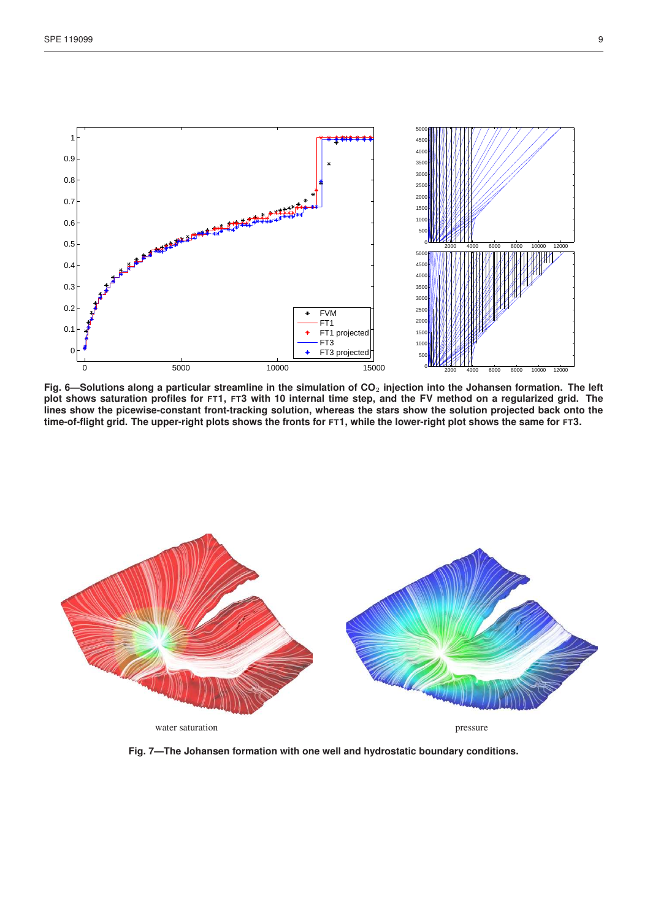

**Fig. 6—Solutions along a particular streamline in the simulation of CO**<sup>2</sup> **injection into the Johansen formation. The left plot shows saturation profiles for FT1, FT3 with 10 internal time step, and the FV method on a regularized grid. The lines show the picewise-constant front-tracking solution, whereas the stars show the solution projected back onto the time-of-flight grid. The upper-right plots shows the fronts for FT1, while the lower-right plot shows the same for FT3.**



**Fig. 7—The Johansen formation with one well and hydrostatic boundary conditions.**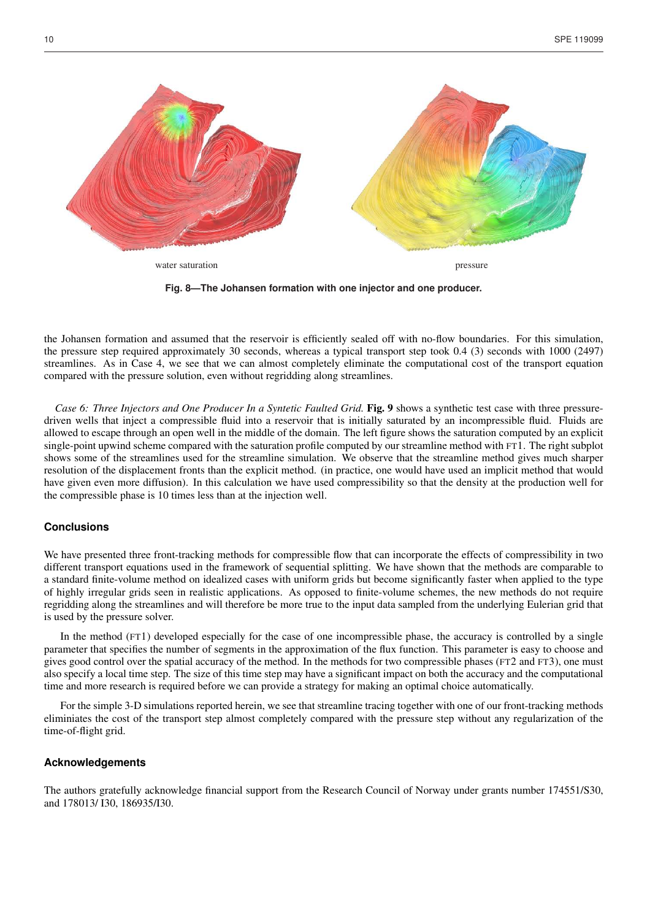

**Fig. 8—The Johansen formation with one injector and one producer.**

the Johansen formation and assumed that the reservoir is efficiently sealed off with no-flow boundaries. For this simulation, the pressure step required approximately 30 seconds, whereas a typical transport step took 0.4 (3) seconds with 1000 (2497) streamlines. As in Case 4, we see that we can almost completely eliminate the computational cost of the transport equation compared with the pressure solution, even without regridding along streamlines.

*Case 6: Three Injectors and One Producer In a Syntetic Faulted Grid.* Fig. 9 shows a synthetic test case with three pressuredriven wells that inject a compressible fluid into a reservoir that is initially saturated by an incompressible fluid. Fluids are allowed to escape through an open well in the middle of the domain. The left figure shows the saturation computed by an explicit single-point upwind scheme compared with the saturation profile computed by our streamline method with FT1. The right subplot shows some of the streamlines used for the streamline simulation. We observe that the streamline method gives much sharper resolution of the displacement fronts than the explicit method. (in practice, one would have used an implicit method that would have given even more diffusion). In this calculation we have used compressibility so that the density at the production well for the compressible phase is 10 times less than at the injection well.

#### **Conclusions**

We have presented three front-tracking methods for compressible flow that can incorporate the effects of compressibility in two different transport equations used in the framework of sequential splitting. We have shown that the methods are comparable to a standard finite-volume method on idealized cases with uniform grids but become significantly faster when applied to the type of highly irregular grids seen in realistic applications. As opposed to finite-volume schemes, the new methods do not require regridding along the streamlines and will therefore be more true to the input data sampled from the underlying Eulerian grid that is used by the pressure solver.

In the method (FT1) developed especially for the case of one incompressible phase, the accuracy is controlled by a single parameter that specifies the number of segments in the approximation of the flux function. This parameter is easy to choose and gives good control over the spatial accuracy of the method. In the methods for two compressible phases (FT2 and FT3), one must also specify a local time step. The size of this time step may have a significant impact on both the accuracy and the computational time and more research is required before we can provide a strategy for making an optimal choice automatically.

For the simple 3-D simulations reported herein, we see that streamline tracing together with one of our front-tracking methods eliminiates the cost of the transport step almost completely compared with the pressure step without any regularization of the time-of-flight grid.

#### **Acknowledgements**

The authors gratefully acknowledge financial support from the Research Council of Norway under grants number 174551/S30, and 178013/ I30, 186935/I30.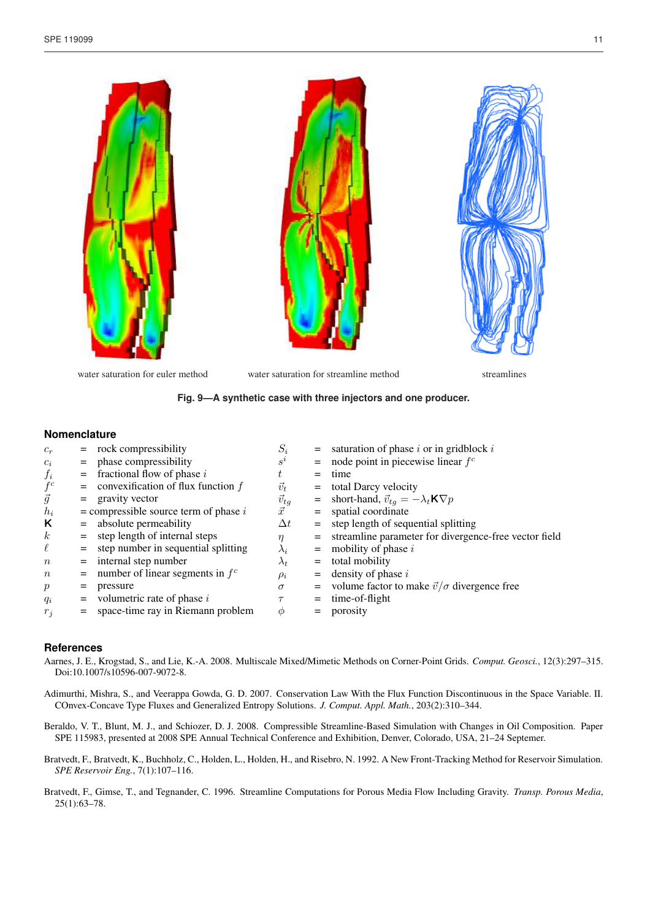

water saturation for euler method water saturation for streamline method streamlines

#### **Fig. 9—A synthetic case with three injectors and one producer.**

#### **Nomenclature**

| $c_r$            |     | $=$ rock compressibility                  | $S_i$          |     | $=$ saturation of phase <i>i</i> or in gridblock <i>i</i>     |
|------------------|-----|-------------------------------------------|----------------|-----|---------------------------------------------------------------|
| $c_i$            |     | = phase compressibility                   | $s^i$          |     | $=$ node point in piecewise linear $f^c$                      |
| $f_i$            |     | $=$ fractional flow of phase i            | t              | $=$ | time                                                          |
| $f^c$            |     | $=$ convexification of flux function $f$  | $\vec{v}_t$    |     | $=$ total Darcy velocity                                      |
| $\vec{g}$        |     | $=$ gravity vector                        | $\vec{v}_{tg}$ |     | = short-hand, $\vec{v}_{tq} = -\lambda_t \mathbf{K} \nabla p$ |
| $h_i$            |     | $=$ compressible source term of phase $i$ | $\vec{x}$      |     | $=$ spatial coordinate                                        |
| Κ                |     | $=$ absolute permeability                 | $\Delta t$     |     | $=$ step length of sequential splitting                       |
| $\boldsymbol{k}$ |     | $=$ step length of internal steps         | η              |     | = streamline parameter for divergence-free vector field       |
| $\ell$           |     | $=$ step number in sequential splitting   | $\lambda_i$    |     | $=$ mobility of phase i                                       |
| $\, n$           |     | $=$ internal step number                  | $\lambda_t$    |     | $=$ total mobility                                            |
| $\, n$           |     | $=$ number of linear segments in $f^c$    | $\rho_i$       |     | $=$ density of phase i                                        |
| $\mathfrak{p}$   | $=$ | pressure                                  | $\sigma$       |     | = volume factor to make $\vec{v}/\sigma$ divergence free      |
| $q_i$            |     | $=$ volumetric rate of phase i            | $\tau$         |     | $=$ time-of-flight                                            |
| $r_i$            | $=$ | space-time ray in Riemann problem         | $\phi$         | $=$ | porosity                                                      |
|                  |     |                                           |                |     |                                                               |

### **References**

- Aarnes, J. E., Krogstad, S., and Lie, K.-A. 2008. Multiscale Mixed/Mimetic Methods on Corner-Point Grids. *Comput. Geosci.*, 12(3):297–315. Doi:10.1007/s10596-007-9072-8.
- Adimurthi, Mishra, S., and Veerappa Gowda, G. D. 2007. Conservation Law With the Flux Function Discontinuous in the Space Variable. II. COnvex-Concave Type Fluxes and Generalized Entropy Solutions. *J. Comput. Appl. Math.*, 203(2):310–344.
- Beraldo, V. T., Blunt, M. J., and Schiozer, D. J. 2008. Compressible Streamline-Based Simulation with Changes in Oil Composition. Paper SPE 115983, presented at 2008 SPE Annual Technical Conference and Exhibition, Denver, Colorado, USA, 21–24 Septemer.
- Bratvedt, F., Bratvedt, K., Buchholz, C., Holden, L., Holden, H., and Risebro, N. 1992. A New Front-Tracking Method for Reservoir Simulation. *SPE Reservoir Eng.*, 7(1):107–116.
- Bratvedt, F., Gimse, T., and Tegnander, C. 1996. Streamline Computations for Porous Media Flow Including Gravity. *Transp. Porous Media*, 25(1):63–78.